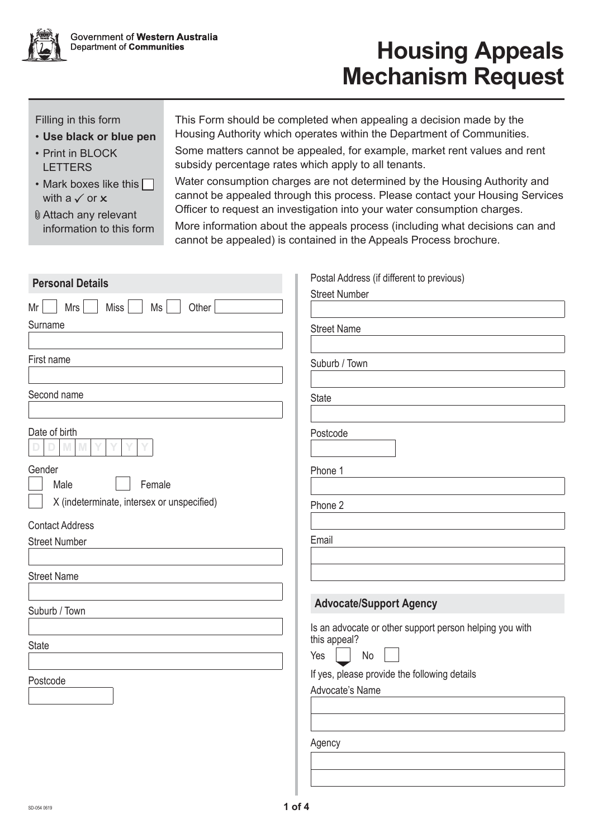

## **Housing Appeals Mechanism Request**

Filling in this form

- **Use black or blue pen**
- Print in BLOCK LETTERS
- Mark boxes like this  $\Box$ with a  $\checkmark$  or  $\checkmark$
- Attach any relevant information to this form

This Form should be completed when appealing a decision made by the Housing Authority which operates within the Department of Communities.

Some matters cannot be appealed, for example, market rent values and rent subsidy percentage rates which apply to all tenants.

Water consumption charges are not determined by the Housing Authority and cannot be appealed through this process. Please contact your Housing Services Officer to request an investigation into your water consumption charges.

More information about the appeals process (including what decisions can and cannot be appealed) is contained in the Appeals Process brochure.

| <b>Personal Details</b>                    | Postal Address (if different to previous)               |
|--------------------------------------------|---------------------------------------------------------|
|                                            | <b>Street Number</b>                                    |
| <b>Miss</b><br>Other<br>Mrs<br>Ms<br>Mr    |                                                         |
| Surname                                    | <b>Street Name</b>                                      |
|                                            |                                                         |
| First name                                 | Suburb / Town                                           |
|                                            |                                                         |
| Second name                                | <b>State</b>                                            |
|                                            |                                                         |
| Date of birth                              |                                                         |
| M                                          | Postcode                                                |
| Gender                                     | Phone 1                                                 |
| Male<br>Female                             |                                                         |
| X (indeterminate, intersex or unspecified) |                                                         |
|                                            | Phone 2                                                 |
| <b>Contact Address</b>                     |                                                         |
| <b>Street Number</b>                       | Email                                                   |
|                                            |                                                         |
| <b>Street Name</b>                         |                                                         |
|                                            |                                                         |
| Suburb / Town                              | <b>Advocate/Support Agency</b>                          |
|                                            | Is an advocate or other support person helping you with |
| <b>State</b>                               | this appeal?                                            |
|                                            | No<br>Yes                                               |
| Postcode                                   | If yes, please provide the following details            |
|                                            | Advocate's Name                                         |
|                                            |                                                         |
|                                            |                                                         |
|                                            | Agency                                                  |
|                                            |                                                         |
|                                            |                                                         |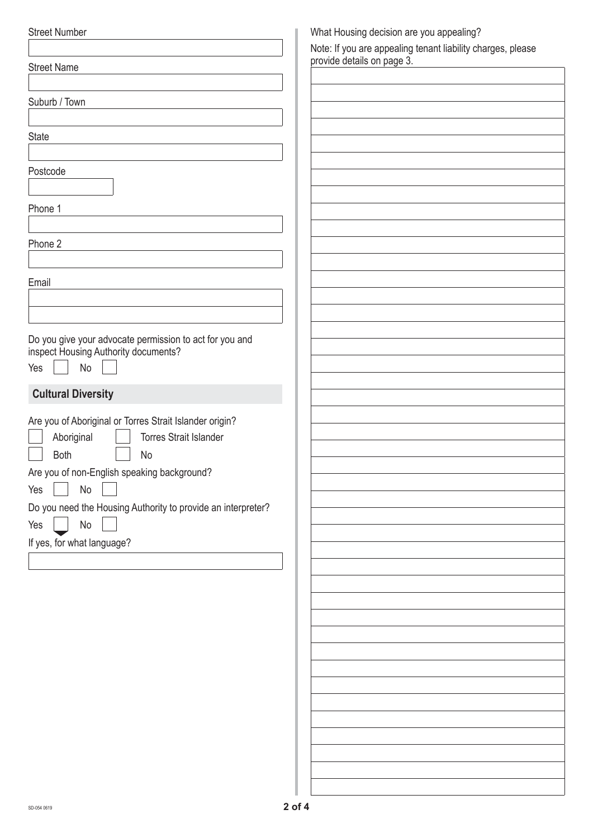| <b>Street Number</b>                                                                            | What Housing decision are you appealing?                    |
|-------------------------------------------------------------------------------------------------|-------------------------------------------------------------|
|                                                                                                 | Note: If you are appealing tenant liability charges, please |
| <b>Street Name</b>                                                                              | provide details on page 3.                                  |
|                                                                                                 |                                                             |
| Suburb / Town                                                                                   |                                                             |
|                                                                                                 |                                                             |
| <b>State</b>                                                                                    |                                                             |
|                                                                                                 |                                                             |
| Postcode                                                                                        |                                                             |
|                                                                                                 |                                                             |
| Phone 1                                                                                         |                                                             |
|                                                                                                 |                                                             |
| Phone 2                                                                                         |                                                             |
|                                                                                                 |                                                             |
| Email                                                                                           |                                                             |
|                                                                                                 |                                                             |
|                                                                                                 |                                                             |
|                                                                                                 |                                                             |
| Do you give your advocate permission to act for you and<br>inspect Housing Authority documents? |                                                             |
| No                                                                                              |                                                             |
| Yes                                                                                             |                                                             |
| <b>Cultural Diversity</b>                                                                       |                                                             |
|                                                                                                 |                                                             |
| Are you of Aboriginal or Torres Strait Islander origin?                                         |                                                             |
| Aboriginal<br><b>Torres Strait Islander</b>                                                     |                                                             |
| Both<br>No                                                                                      |                                                             |
| Are you of non-English speaking background?                                                     |                                                             |
| $\operatorname{\mathsf{No}}$<br>Yes                                                             |                                                             |
| Do you need the Housing Authority to provide an interpreter?                                    |                                                             |
| $\operatorname{\mathsf{No}}$<br>Yes                                                             |                                                             |
| If yes, for what language?                                                                      |                                                             |
|                                                                                                 |                                                             |
|                                                                                                 |                                                             |
|                                                                                                 |                                                             |
|                                                                                                 |                                                             |
|                                                                                                 |                                                             |
|                                                                                                 |                                                             |
|                                                                                                 |                                                             |
|                                                                                                 |                                                             |
|                                                                                                 |                                                             |
|                                                                                                 |                                                             |
|                                                                                                 |                                                             |
|                                                                                                 |                                                             |
|                                                                                                 |                                                             |
|                                                                                                 |                                                             |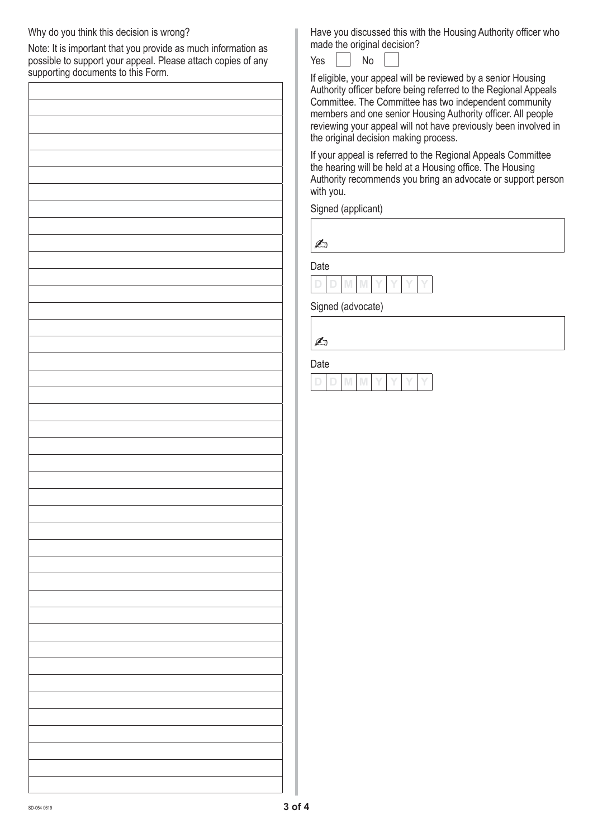## Why do you think this decision is wrong?

Note: It is important that you provide as much information as possible to support your appeal. Please attach copies of any supporting documents to this Form.

Have you discussed this with the Housing Authority officer who made the original decision?

Yes  $\vert$   $\vert$  No

If eligible, your appeal will be reviewed by a senior Housing Authority officer before being referred to the Regional Appeals Committee. The Committee has two independent community members and one senior Housing Authority officer. All people reviewing your appeal will not have previously been involved in the original decision making process.

If your appeal is referred to the Regional Appeals Committee the hearing will be held at a Housing office. The Housing Authority recommends you bring an advocate or support person with you.

Signed (applicant)

A

Date

**D D M M Y Y Y Y**

Signed (advocate)

 $\mathbb{Z}$ 

Date